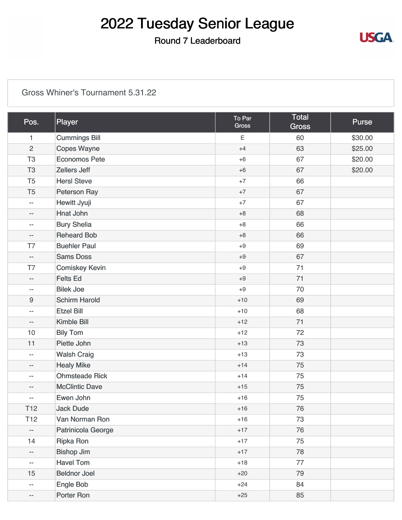### Round 7 Leaderboard

#### [Gross Whiner's Tournament 5.31.22](https://static.golfgenius.com/v2tournaments/8523270683591990144?called_from=&round_index=7)

| Pos.                     | Player                | To Par<br><b>Gross</b> | Total<br><b>Gross</b> | <b>Purse</b> |
|--------------------------|-----------------------|------------------------|-----------------------|--------------|
| $\mathbf{1}$             | <b>Cummings Bill</b>  | Ε                      | 60                    | \$30.00      |
| $\overline{c}$           | <b>Copes Wayne</b>    | $+4$                   | 63                    | \$25.00      |
| T <sub>3</sub>           | <b>Economos Pete</b>  | $+6$                   | 67                    | \$20.00      |
| T <sub>3</sub>           | <b>Zellers Jeff</b>   | $+6$                   | 67                    | \$20.00      |
| T <sub>5</sub>           | <b>HersI Steve</b>    | $+7$                   | 66                    |              |
| T <sub>5</sub>           | <b>Peterson Ray</b>   | $+7$                   | 67                    |              |
| $\overline{\phantom{a}}$ | Hewitt Jyuji          | $+7$                   | 67                    |              |
| $-\, -$                  | Hnat John             | $+8$                   | 68                    |              |
| $-\, -$                  | <b>Bury Shelia</b>    | $+8$                   | 66                    |              |
| $-$                      | <b>Reheard Bob</b>    | $+8$                   | 66                    |              |
| T7                       | <b>Buehler Paul</b>   | $+9$                   | 69                    |              |
| $\overline{\phantom{a}}$ | <b>Sams Doss</b>      | $+9$                   | 67                    |              |
| T7                       | <b>Comiskey Kevin</b> | $+9$                   | 71                    |              |
| $-$                      | <b>Felts Ed</b>       | $+9$                   | 71                    |              |
| $\overline{\phantom{a}}$ | <b>Bilek Joe</b>      | $+9$                   | 70                    |              |
| $9\,$                    | <b>Schirm Harold</b>  | $+10$                  | 69                    |              |
| $\overline{\phantom{a}}$ | <b>Etzel Bill</b>     | $+10$                  | 68                    |              |
| $-$                      | <b>Kimble Bill</b>    | $+12$                  | 71                    |              |
| 10                       | <b>Bily Tom</b>       | $+12$                  | 72                    |              |
| 11                       | Piette John           | $+13$                  | 73                    |              |
| $\overline{\phantom{a}}$ | <b>Walsh Craig</b>    | $+13$                  | 73                    |              |
| $-$                      | <b>Healy Mike</b>     | $+14$                  | 75                    |              |
| $\overline{\phantom{a}}$ | <b>Ohmsteade Rick</b> | $+14$                  | 75                    |              |
| $-$                      | <b>McClintic Dave</b> | $+15$                  | 75                    |              |
| $-$                      | Ewen John             | $+16$                  | 75                    |              |
| T <sub>12</sub>          | <b>Jack Dude</b>      | $+16$                  | 76                    |              |
| T <sub>12</sub>          | Van Norman Ron        | $+16$                  | 73                    |              |
| $\overline{\phantom{a}}$ | Patrinicola George    | $+17$                  | 76                    |              |
| 14                       | <b>Ripka Ron</b>      | $+17$                  | 75                    |              |
| $\overline{\phantom{a}}$ | <b>Bishop Jim</b>     | $+17$                  | 78                    |              |
| $- -$                    | <b>Havel Tom</b>      | $+18$                  | 77                    |              |
| 15                       | <b>Beldnor Joel</b>   | $+20$                  | 79                    |              |
| $\overline{\phantom{m}}$ | Engle Bob             | $+24$                  | 84                    |              |
| $\overline{\phantom{a}}$ | Porter Ron            | $+25$                  | 85                    |              |

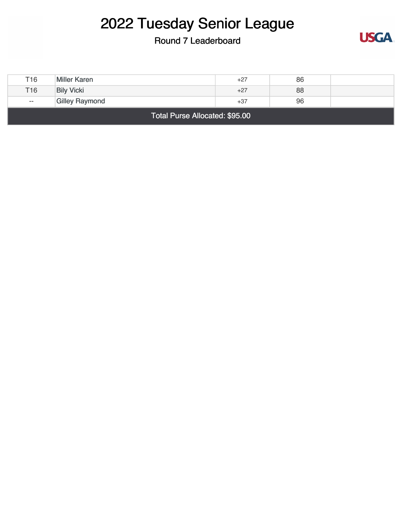#### Round 7 Leaderboard



| Total Purse Allocated: \$95.00 |                       |       |    |  |
|--------------------------------|-----------------------|-------|----|--|
| $- -$                          | <b>Gilley Raymond</b> | $+37$ | 96 |  |
| T <sub>16</sub>                | <b>Bily Vicki</b>     | $+27$ | 88 |  |
| T16                            | <b>Miller Karen</b>   | +27   | 86 |  |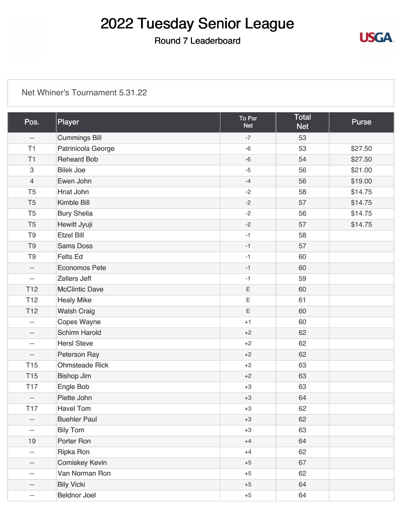### Round 7 Leaderboard

**USGA** 

#### [Net Whiner's Tournament 5.31.22](https://static.golfgenius.com/v2tournaments/8523270690336430977?called_from=&round_index=7)

| Pos.                      | Player                | To Par<br><b>Net</b> | <b>Total</b><br><b>Net</b> | <b>Purse</b> |
|---------------------------|-----------------------|----------------------|----------------------------|--------------|
| $\overline{\phantom{a}}$  | <b>Cummings Bill</b>  | $-7$                 | 53                         |              |
| T1                        | Patrinicola George    | $-6$                 | 53                         | \$27.50      |
| T1                        | <b>Reheard Bob</b>    | $-6$                 | 54                         | \$27.50      |
| $\ensuremath{\mathsf{3}}$ | <b>Bilek Joe</b>      | $-5$                 | 56                         | \$21.00      |
| $\overline{4}$            | Ewen John             | $-4$                 | 56                         | \$19.00      |
| T <sub>5</sub>            | <b>Hnat John</b>      | $-2$                 | 58                         | \$14.75      |
| T <sub>5</sub>            | Kimble Bill           | $-2$                 | 57                         | \$14.75      |
| T <sub>5</sub>            | <b>Bury Shelia</b>    | $-2$                 | 56                         | \$14.75      |
| T <sub>5</sub>            | Hewitt Jyuji          | $-2$                 | 57                         | \$14.75      |
| T <sub>9</sub>            | <b>Etzel Bill</b>     | $-1$                 | 58                         |              |
| T <sub>9</sub>            | <b>Sams Doss</b>      | $-1$                 | 57                         |              |
| T <sub>9</sub>            | <b>Felts Ed</b>       | $-1$                 | 60                         |              |
| $\overline{\phantom{a}}$  | <b>Economos Pete</b>  | $-1$                 | 60                         |              |
| $\overline{\phantom{a}}$  | <b>Zellers Jeff</b>   | $-1$                 | 59                         |              |
| T <sub>12</sub>           | <b>McClintic Dave</b> | $\mathsf E$          | 60                         |              |
| T <sub>12</sub>           | <b>Healy Mike</b>     | $\mathsf E$          | 61                         |              |
| T <sub>12</sub>           | <b>Walsh Craig</b>    | $\mathsf E$          | 60                         |              |
| $\overline{\phantom{a}}$  | <b>Copes Wayne</b>    | $+1$                 | 60                         |              |
| $\qquad \qquad -$         | <b>Schirm Harold</b>  | $+2$                 | 62                         |              |
| $\overline{\phantom{a}}$  | <b>HersI</b> Steve    | $+2$                 | 62                         |              |
| $\overline{\phantom{a}}$  | <b>Peterson Ray</b>   | $+2$                 | 62                         |              |
| <b>T15</b>                | <b>Ohmsteade Rick</b> | $+2$                 | 63                         |              |
| <b>T15</b>                | <b>Bishop Jim</b>     | $+2$                 | 63                         |              |
| <b>T17</b>                | Engle Bob             | $+3$                 | 63                         |              |
| $\overline{\phantom{a}}$  | Piette John           | $+3$                 | 64                         |              |
| <b>T17</b>                | <b>Havel Tom</b>      | $+3$                 | 62                         |              |
| $\overline{\phantom{a}}$  | <b>Buehler Paul</b>   | $+3$                 | 62                         |              |
| $\overline{\phantom{m}}$  | <b>Bily Tom</b>       | $+3$                 | 63                         |              |
| 19                        | Porter Ron            | $+4$                 | 64                         |              |
| $\overline{\phantom{m}}$  | <b>Ripka Ron</b>      | $+4$                 | 62                         |              |
| --                        | <b>Comiskey Kevin</b> | $+5$                 | 67                         |              |
| $\overline{\phantom{m}}$  | Van Norman Ron        | $+5$                 | 62                         |              |
| $-\,-$                    | <b>Bily Vicki</b>     | $+5$                 | 64                         |              |
| --                        | <b>Beldnor Joel</b>   | $+5$                 | 64                         |              |
|                           |                       |                      |                            |              |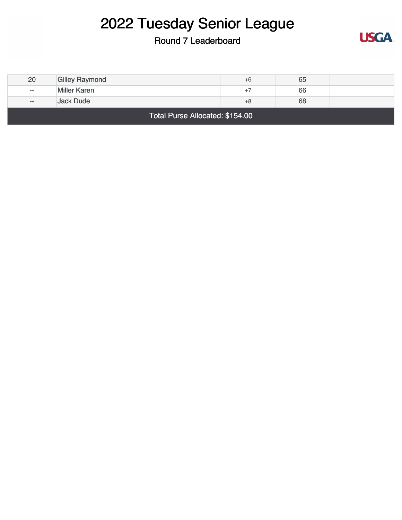### Round 7 Leaderboard



| Total Purse Allocated: \$154.00 |                       |      |    |  |
|---------------------------------|-----------------------|------|----|--|
| $- -$                           | Jack Dude             | $+8$ | 68 |  |
| $- -$                           | <b>Miller Karen</b>   | $+7$ | 66 |  |
| 20                              | <b>Gilley Raymond</b> | $+6$ | 65 |  |